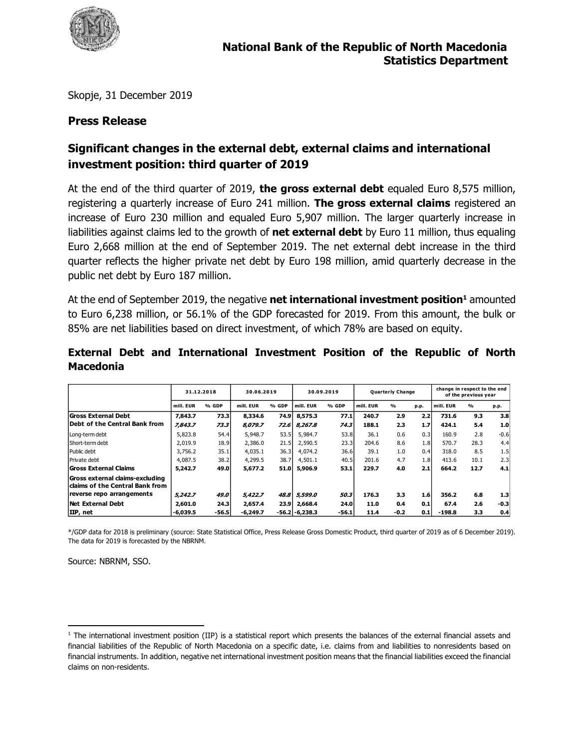

Skopje, 31 December 2019

### **Press Release**

# **Significant changes in the external debt, external claims and international investment position: third quarter of 2019**

At the end of the third quarter of 2019, **the gross external debt** equaled Euro 8,575 million, registering a quarterly increase of Euro 241 million. **The gross external claims** registered an increase of Euro 230 million and equaled Euro 5,907 million. The larger quarterly increase in liabilities against claims led to the growth of **net external debt** by Euro 11 million, thus equaling Euro 2,668 million at the end of September 2019. The net external debt increase in the third quarter reflects the higher private net debt by Euro 198 million, amid quarterly decrease in the public net debt by Euro 187 million.

At the end of September 2019, the negative **net international investment position<sup>1</sup>** amounted to Euro 6,238 million, or 56.1% of the GDP forecasted for 2019. From this amount, the bulk or 85% are net liabilities based on direct investment, of which 78% are based on equity.

|                                                                                                 | 31.12.2018 |         | 30.06.2019 |       | 30.09.2019        |       |           | <b>Quarterly Change</b> |      | change in respect to the end<br>of the previous year |               |        |  |
|-------------------------------------------------------------------------------------------------|------------|---------|------------|-------|-------------------|-------|-----------|-------------------------|------|------------------------------------------------------|---------------|--------|--|
|                                                                                                 | mill. EUR  | % GDP   | mill. EUR  | % GDP | mill. EUR         | % GDP | mill. EUR | $\frac{1}{2}$           | p.p. | mill. EUR                                            | $\frac{9}{6}$ | p.p.   |  |
| Gross External Debt                                                                             | 7.843.7    | 73.3    | 8,334.6    | 74.9  | 8,575.3           | 77.1  | 240.7     | 2.9                     | 2.2  | 731.6                                                | 9.3           | 3.8    |  |
| Debt of the Central Bank from                                                                   | 7,843.7    | 73.3    | 8,079.7    |       | 72.6 8.267.8      | 74.3  | 188.1     | 2.3                     | 1.7  | 424.1                                                | 5.4           | 1.0    |  |
| Long-term debt                                                                                  | 5,823.8    | 54.4    | 5,948.7    | 53.5  | 5,984.7           | 53.8  | 36.1      | 0.6                     | 0.3  | 160.9                                                | 2.8           | $-0.6$ |  |
| <b>Short-term debt</b>                                                                          | 2,019.9    | 18.9    | 2,386.0    | 21.5  | 2,590.5           | 23.3  | 204.6     | 8.6                     | 1.8  | 570.7                                                | 28.3          | 4.4    |  |
| Public debt                                                                                     | 3,756.2    | 35.1    | 4,035.1    | 36.3  | 4,074.2           | 36.6  | 39.1      | 1.0                     | 0.4  | 318.0                                                | 8.5           | 1.5    |  |
| Private debt                                                                                    | 4,087.5    | 38.2    | 4,299.5    | 38.7  | 4,501.1           | 40.5  | 201.6     | 4.7                     | 1.8  | 413.6                                                | 10.1          | 2.3    |  |
| <b>Gross External Claims</b>                                                                    | 5.242.7    | 49.0    | 5,677.2    | 51.0  | 5,906.9           | 53.1  | 229.7     | 4.0                     | 2.1  | 664.2                                                | 12.7          | 4.1    |  |
| Gross external claims-excluding<br>claims of the Central Bank from<br>reverse repo arrangements | 5,242.7    | 49.0    | 5,422.7    | 48.8  | 5,599.0           | 50.3  | 176.3     | 3.3                     | 1.6  | 356.2                                                | 6.8           | 1.3    |  |
| Net External Debt                                                                               | 2,601.0    | 24.3    | 2,657.4    | 23.9  | 2,668.4           | 24.0  | 11.0      | 0.4                     | 0.1  | 67.4                                                 | 2.6           | $-0.3$ |  |
| IIP, net                                                                                        | $-6,039.5$ | $-56.5$ | $-6.249.7$ |       | $-56.2 - 6,238.3$ | -56.1 | 11.4      | $-0.2$                  | 0.1  | -198.8                                               | 3.3           | 0.4    |  |

#### **External Debt and International Investment Position of the Republic of North Macedonia**

\*/GDP data for 2018 is preliminary (source: State Statistical Office, Press Release Gross Domestic Product, third quarter of 2019 as of 6 December 2019). The data for 2019 is forecasted by the NBRNM.

Source: NBRNM, SSO.

 $\overline{\phantom{a}}$ <sup>1</sup> The international investment position (IIP) is a statistical report which presents the balances of the external financial assets and financial liabilities of the Republic of North Macedonia on a specific date, i.e. claims from and liabilities to nonresidents based on financial instruments. In addition, negative net international investment position means that the financial liabilities exceed the financial claims on non-residents.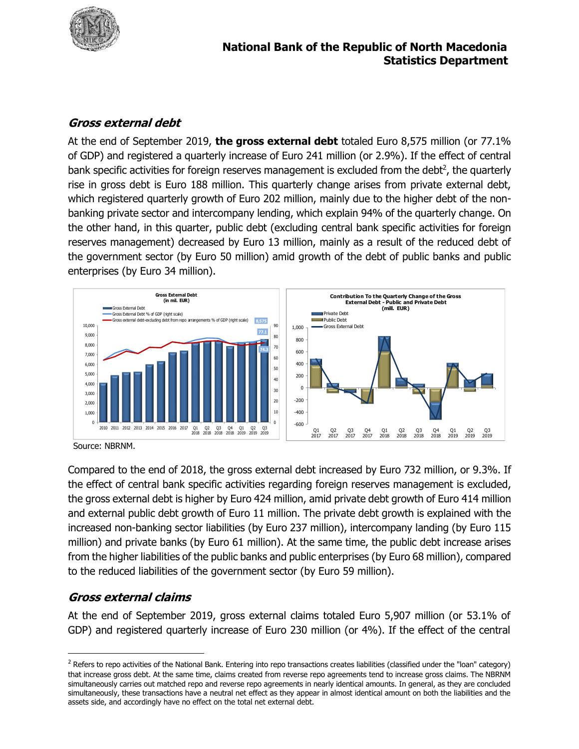

## **Gross external debt**

At the end of September 2019, **the gross external debt** totaled Euro 8,575 million (or 77.1% of GDP) and registered a quarterly increase of Euro 241 million (or 2.9%). If the effect of central bank specific activities for foreign reserves management is excluded from the debt<sup>2</sup>, the quarterly rise in gross debt is Euro 188 million. This quarterly change arises from private external debt, which registered quarterly growth of Euro 202 million, mainly due to the higher debt of the nonbanking private sector and intercompany lending, which explain 94% of the quarterly change. On the other hand, in this quarter, public debt (excluding central bank specific activities for foreign reserves management) decreased by Euro 13 million, mainly as a result of the reduced debt of the government sector (by Euro 50 million) amid growth of the debt of public banks and public enterprises (by Euro 34 million).



Source: NBRNM.

Compared to the end of 2018, the gross external debt increased by Euro 732 million, or 9.3%. If the effect of central bank specific activities regarding foreign reserves management is excluded, the gross external debt is higher by Euro 424 million, amid private debt growth of Euro 414 million and external public debt growth of Euro 11 million. The private debt growth is explained with the increased non-banking sector liabilities (by Euro 237 million), intercompany landing (by Euro 115 million) and private banks (by Euro 61 million). At the same time, the public debt increase arises from the higher liabilities of the public banks and public enterprises (by Euro 68 million), compared to the reduced liabilities of the government sector (by Euro 59 million).

### **Gross external claims**

 $\overline{\phantom{a}}$ 

At the end of September 2019, gross external claims totaled Euro 5,907 million (or 53.1% of GDP) and registered quarterly increase of Euro 230 million (or 4%). If the effect of the central

<sup>&</sup>lt;sup>2</sup> Refers to repo activities of the National Bank. Entering into repo transactions creates liabilities (classified under the "loan" category) that increase gross debt. At the same time, claims created from reverse repo agreements tend to increase gross claims. The NBRNM simultaneously carries out matched repo and reverse repo agreements in nearly identical amounts. In general, as they are concluded simultaneously, these transactions have a neutral net effect as they appear in almost identical amount on both the liabilities and the assets side, and accordingly have no effect on the total net external debt.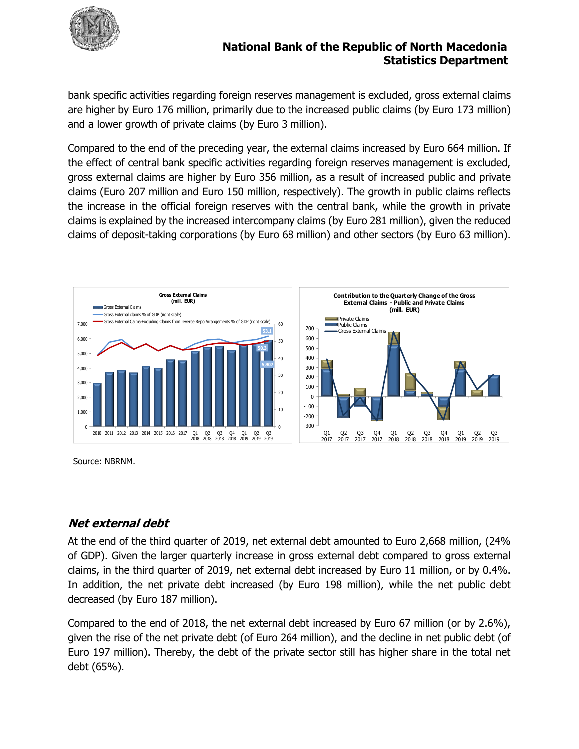

#### **National Bank of the Republic of North Macedonia Statistics Department**

bank specific activities regarding foreign reserves management is excluded, gross external claims are higher by Euro 176 million, primarily due to the increased public claims (by Euro 173 million) and a lower growth of private claims (by Euro 3 million).

Compared to the end of the preceding year, the external claims increased by Euro 664 million. If the effect of central bank specific activities regarding foreign reserves management is excluded, gross external claims are higher by Euro 356 million, as a result of increased public and private claims (Euro 207 million and Euro 150 million, respectively). The growth in public claims reflects the increase in the official foreign reserves with the central bank, while the growth in private claims is explained by the increased intercompany claims (by Euro 281 million), given the reduced claims of deposit-taking corporations (by Euro 68 million) and other sectors (by Euro 63 million).



Source: NBRNM.

### **Net external debt**

At the end of the third quarter of 2019, net external debt amounted to Euro 2,668 million, (24% of GDP). Given the larger quarterly increase in gross external debt compared to gross external claims, in the third quarter of 2019, net external debt increased by Euro 11 million, or by 0.4%. In addition, the net private debt increased (by Euro 198 million), while the net public debt decreased (by Euro 187 million).

Compared to the end of 2018, the net external debt increased by Euro 67 million (or by 2.6%), given the rise of the net private debt (of Euro 264 million), and the decline in net public debt (of Euro 197 million). Thereby, the debt of the private sector still has higher share in the total net debt (65%).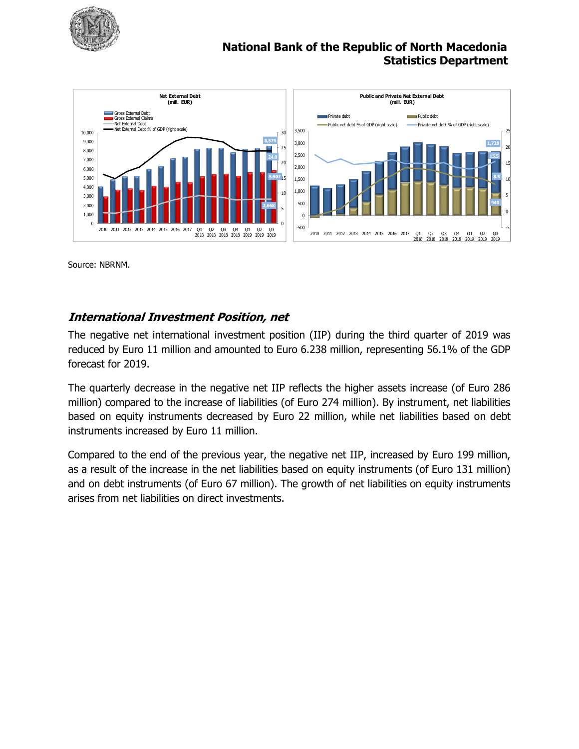

## **National Bank of the Republic of North Macedonia Statistics Department**



Source: NBRNM.

#### **International Investment Position, net**

The negative net international investment position (IIP) during the third quarter of 2019 was reduced by Euro 11 million and amounted to Euro 6.238 million, representing 56.1% of the GDP forecast for 2019.

The quarterly decrease in the negative net IIP reflects the higher assets increase (of Euro 286 million) compared to the increase of liabilities (of Euro 274 million). By instrument, net liabilities based on equity instruments decreased by Euro 22 million, while net liabilities based on debt instruments increased by Euro 11 million.

Compared to the end of the previous year, the negative net IIP, increased by Euro 199 million, as a result of the increase in the net liabilities based on equity instruments (of Euro 131 million) and on debt instruments (of Euro 67 million). The growth of net liabilities on equity instruments arises from net liabilities on direct investments.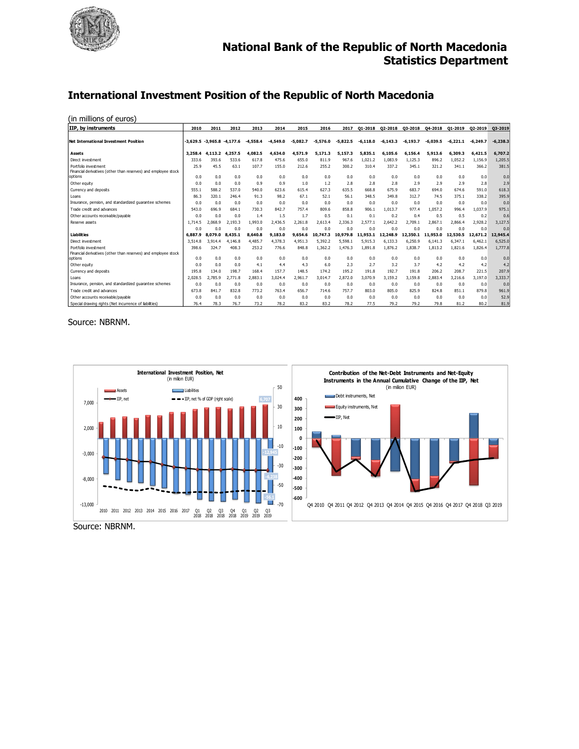

#### **International Investment Position of the Republic of North Macedonia**

| IIP, by instruments                                                                    | 2010       | 2011                | 2012    | 2013       | 2014       | 2015       | 2016       | 2017       | 01-2018    | 02-2018    | 03-2018    | 04-2018    | Q1-2019    | 02-2019    | 03-2019    |
|----------------------------------------------------------------------------------------|------------|---------------------|---------|------------|------------|------------|------------|------------|------------|------------|------------|------------|------------|------------|------------|
|                                                                                        |            |                     |         |            |            |            |            |            |            |            |            |            |            |            |            |
| Net International Investment Position                                                  | $-3.629.5$ | $-3.965.8 -4.177.6$ |         | $-4.558.4$ | $-4.549.0$ | $-5.082.7$ | $-5.576.0$ | $-5,822.5$ | $-6.118.0$ | $-6.143.3$ | $-6.193.7$ | $-6.039.5$ | $-6.221.1$ | $-6.249.7$ | $-6,238.3$ |
| <b>Assets</b>                                                                          | 3,258.4    | 4.113.2             | 4.257.5 | 4.082.5    | 4,634.0    | 4.571.9    | 5.171.3    | 5.157.3    | 5.835.1    | 6.105.6    | 6.156.4    | 5.913.6    | 6,309.3    | 6.421.5    | 6.707.2    |
| Direct investment                                                                      | 333.6      | 393.6               | 533.6   | 617.8      | 475.6      | 655.0      | 811.9      | 967.6      | 1.021.2    | 1.083.9    | 1.125.3    | 896.2      | 1.052.2    | 1.156.9    | 1,205.5    |
| Portfolio investment<br>Financial derivatives (other than reserves) and employee stock | 25.9       | 45.5                | 63.1    | 107.7      | 155.0      | 212.6      | 255.2      | 300.2      | 310.4      | 337.2      | 345.1      | 321.2      | 341.1      | 366.2      | 381.5      |
| options                                                                                | 0.0        | 0.0                 | 0.0     | 0.0        | 0.0        | 0.0        | 0.0        | 0.0        | 0.0        | 0.0        | 0.0        | 0.0        | 0.0        | 0.0        | 0.0        |
| Other equity                                                                           | 0.0        | 0.0                 | 0.0     | 0.9        | 0.9        | 1.0        | 1.2        | 2.8        | 2.8        | 2.8        | 2.9        | 2.9        | 2.9        | 2.8        | 2.9        |
| Currency and deposits                                                                  | 555.1      | 588.2               | 537.0   | 540.0      | 623.6      | 615.4      | 627.3      | 635.5      | 668.8      | 675.9      | 683.7      | 694.0      | 674.6      | 591.0      | 618.3      |
| Loans                                                                                  | 86.3       | 320.1               | 246.4   | 91.3       | 98.2       | 67.1       | 52.1       | 56.1       | 348.5      | 349.8      | 312.7      | 74.5       | 375.1      | 338.2      | 395.9      |
| Insurance, pension, and standardized quarantee schemes                                 | 0.0        | 0.0                 | 0.0     | 0.0        | 0.0        | 0.0        | 0.0        | 0.0        | 0.0        | 0.0        | 0.0        | 0.0        | 0.0        | 0.0        | 0.0        |
| Trade credit and advances                                                              | 543.0      | 696.9               | 684.1   | 730.3      | 842.7      | 757.4      | 809.6      | 858.8      | 906.1      | 1.013.7    | 977.4      | 1.057.2    | 996.4      | 1.037.9    | 975.1      |
| Other accounts receivable/payable                                                      | 0.0        | 0.0                 | 0.0     | 1.4        | 1.5        | 1.7        | 0.5        | 0.1        | 0.1        | 0.2        | 0.4        | 0.5        | 0.5        | 0.2        | 0.6        |
| Reserve assets                                                                         | 1.714.5    | 2.068.9             | 2.193.3 | 1.993.0    | 2,436.5    | 2.261.8    | 2.613.4    | 2.336.3    | 2,577.1    | 2,642.2    | 2,709.1    | 2.867.1    | 2,866.4    | 2,928.2    | 3.127.5    |
|                                                                                        | 0.0        | 0.0                 | 0.0     | 0.0        | 0.0        | 0.0        | 0.0        | 0.0        | 0.0        | 0.0        | 0.0        | 0.0        | 0.0        | 0.0        | 0.0        |
| <b>Liabilities</b>                                                                     | 6.887.9    | 8.079.0             | 8,435.1 | 8,640.8    | 9,183.0    | 9,654.6    | 10.747.3   | 10,979.8   | 11,953.1   | 12,248.9   | 12,350.1   | 11,953.0   | 12,530.5   | 12,671.2   | 12,945.4   |
| Direct investment                                                                      | 3.514.8    | 3.914.4             | 4,146.8 | 4,485.7    | 4,378.3    | 4.951.3    | 5.392.2    | 5.598.1    | 5.915.3    | 6.133.3    | 6.250.9    | 6.141.3    | 6.347.1    | 6.462.1    | 6,525.0    |
| Portfolio investment<br>Financial derivatives (other than reserves) and employee stock | 398.6      | 324.7               | 408.3   | 253.2      | 776.6      | 848.8      | 1,362.2    | 1,476.3    | 1.891.8    | 1.876.2    | 1,838.7    | 1.813.2    | 1.821.6    | 1,826.4    | 1,777.8    |
| options                                                                                | 0.0        | 0.0                 | 0.0     | 0.0        | 0.0        | 0.0        | 0.0        | 0.0        | 0.0        | 0.0        | 0.0        | 0.0        | 0.0        | 0.0        | 0.0        |
| Other equity                                                                           | 0.0        | 0.0                 | 0.0     | 4.1        | 4.4        | 4.3        | 6.0        | 2.3        | 2.7        | 3.2        | 3.7        | 4.2        | 4.2        | 4.2        | 4.2        |
| Currency and deposits                                                                  | 195.8      | 134.0               | 198.7   | 168.4      | 157.7      | 148.5      | 174.2      | 195.2      | 191.8      | 192.7      | 191.8      | 206.2      | 208.7      | 221.5      | 207.9      |
| Loans                                                                                  | 2.028.5    | 2.785.9             | 2.771.8 | 2.883.1    | 3.024.4    | 2.961.7    | 3.014.7    | 2.872.0    | 3,070.9    | 3,159.2    | 3.159.8    | 2,883.4    | 3,216.6    | 3.197.0    | 3,333.7    |
| Insurance, pension, and standardized quarantee schemes                                 | 0.0        | 0.0                 | 0.0     | 0.0        | 0.0        | 0.0        | 0.0        | 0.0        | 0.0        | 0.0        | 0.0        | 0.0        | 0.0        | 0.0        | 0.0        |
| Trade credit and advances                                                              | 673.8      | 841.7               | 832.8   | 773.2      | 763.4      | 656.7      | 714.6      | 757.7      | 803.0      | 805.0      | 825.9      | 824.8      | 851.1      | 879.8      | 961.9      |
| Other accounts receivable/pavable                                                      | 0.0        | 0.0                 | 0.0     | 0.0        | 0.0        | 0.0        | 0.0        | 0.0        | 0.0        | 0.0        | 0.0        | 0.0        | 0.0        | 0.0        | 52.9       |
| Special drawing rights (Net incurrence of liabilities)                                 | 76.4       | 78.3                | 76.7    | 73.2       | 78.2       | 83.2       | 83.2       | 78.2       | 77.5       | 79.2       | 79.2       | 79.8       | 81.2       | 80.2       | 81.9       |

#### Source: NBRNM.



Source: NBRNM.